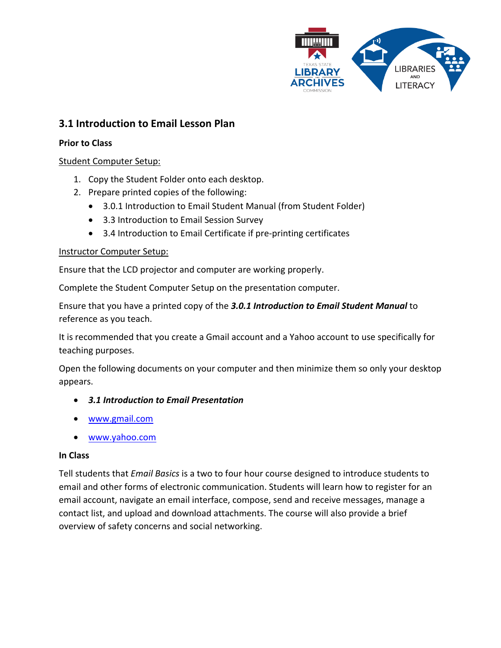

# **3.1 Introduction to Email Lesson Plan**

### **Prior to Class**

## Student Computer Setup:

- 1. Copy the Student Folder onto each desktop.
- 2. Prepare printed copies of the following:
	- 3.0.1 Introduction to Email Student Manual (from Student Folder)
	- 3.3 Introduction to Email Session Survey
	- 3.4 Introduction to Email Certificate if pre-printing certificates

## Instructor Computer Setup:

Ensure that the LCD projector and computer are working properly.

Complete the Student Computer Setup on the presentation computer.

Ensure that you have a printed copy of the *3.0.1 Introduction to Email Student Manual* to reference as you teach.

It is recommended that you create a Gmail account and a Yahoo account to use specifically for teaching purposes.

Open the following documents on your computer and then minimize them so only your desktop appears.

- *3.1 Introduction to Email Presentation*
- [www.gmail.com](http://www.gmail.com/)
- [www.yahoo.com](http://www.yahoo.com/)

#### **In Class**

Tell students that *Email Basics* is a two to four hour course designed to introduce students to email and other forms of electronic communication. Students will learn how to register for an email account, navigate an email interface, compose, send and receive messages, manage a contact list, and upload and download attachments. The course will also provide a brief overview of safety concerns and social networking.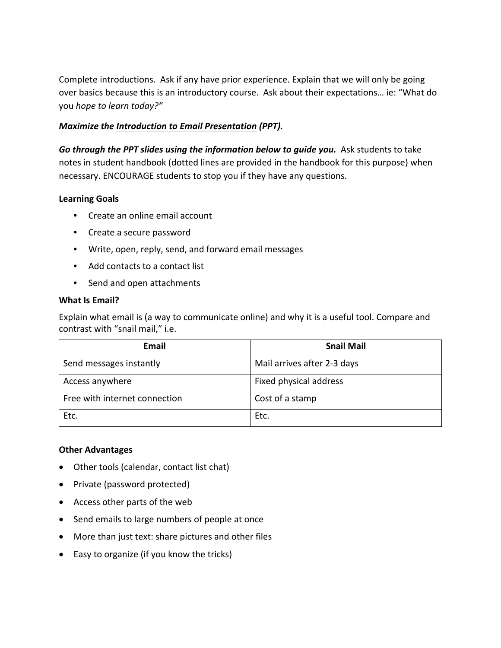Complete introductions. Ask if any have prior experience. Explain that we will only be going over basics because this is an introductory course. Ask about their expectations… ie: "What do you *hope to learn today?"*

## *Maximize the Introduction to Email Presentation (PPT).*

Go through the PPT slides using the information below to guide you. Ask students to take notes in student handbook (dotted lines are provided in the handbook for this purpose) when necessary. ENCOURAGE students to stop you if they have any questions.

## **Learning Goals**

- Create an online email account
- Create a secure password
- Write, open, reply, send, and forward email messages
- Add contacts to a contact list
- Send and open attachments

### **What Is Email?**

Explain what email is (a way to communicate online) and why it is a useful tool. Compare and contrast with "snail mail," i.e.

| Email                         | <b>Snail Mail</b>           |
|-------------------------------|-----------------------------|
| Send messages instantly       | Mail arrives after 2-3 days |
| Access anywhere               | Fixed physical address      |
| Free with internet connection | Cost of a stamp             |
| Etc.                          | Etc.                        |

## **Other Advantages**

- Other tools (calendar, contact list chat)
- Private (password protected)
- Access other parts of the web
- Send emails to large numbers of people at once
- More than just text: share pictures and other files
- Easy to organize (if you know the tricks)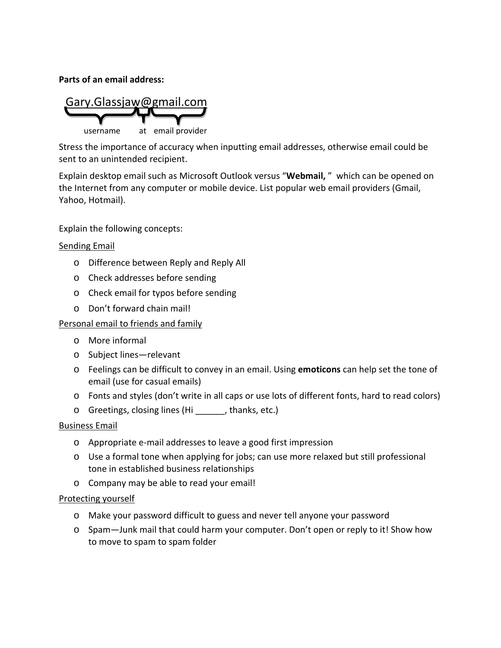**Parts of an email address:**

Gary.Glassjaw@gmail.com username at email provider

Stress the importance of accuracy when inputting email addresses, otherwise email could be sent to an unintended recipient.

Explain desktop email such as Microsoft Outlook versus "**Webmail,** " which can be opened on the Internet from any computer or mobile device. List popular web email providers (Gmail, Yahoo, Hotmail).

Explain the following concepts:

#### Sending Email

- o Difference between Reply and Reply All
- o Check addresses before sending
- o Check email for typos before sending
- o Don't forward chain mail!

#### Personal email to friends and family

- o More informal
- o Subject lines—relevant
- o Feelings can be difficult to convey in an email. Using **emoticons** can help set the tone of email (use for casual emails)
- o Fonts and styles (don't write in all caps or use lots of different fonts, hard to read colors)
- o Greetings, closing lines (Hi \_\_\_\_\_\_, thanks, etc.)

#### Business Email

- o Appropriate e-mail addresses to leave a good first impression
- o Use a formal tone when applying for jobs; can use more relaxed but still professional tone in established business relationships
- o Company may be able to read your email!

#### Protecting yourself

- o Make your password difficult to guess and never tell anyone your password
- o Spam—Junk mail that could harm your computer. Don't open or reply to it! Show how to move to spam to spam folder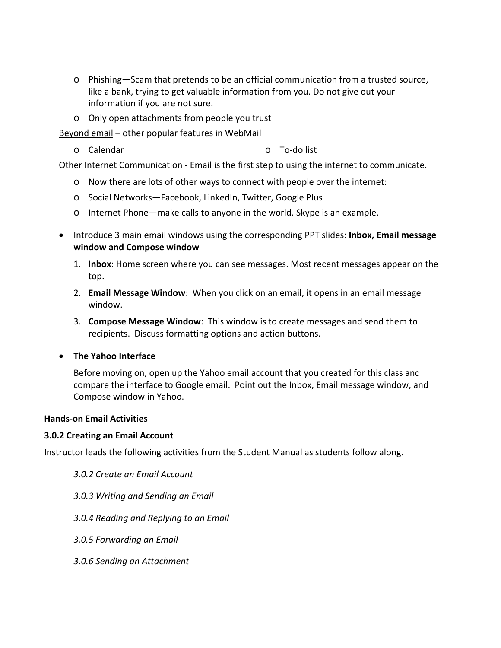- o Phishing—Scam that pretends to be an official communication from a trusted source, like a bank, trying to get valuable information from you. Do not give out your information if you are not sure.
- o Only open attachments from people you trust

Beyond email – other popular features in WebMail

o Calendar o To-do list

Other Internet Communication - Email is the first step to using the internet to communicate.

- o Now there are lots of other ways to connect with people over the internet:
- o Social Networks—Facebook, LinkedIn, Twitter, Google Plus
- o Internet Phone—make calls to anyone in the world. Skype is an example.
- Introduce 3 main email windows using the corresponding PPT slides: **Inbox, Email message window and Compose window**
	- 1. **Inbox**: Home screen where you can see messages. Most recent messages appear on the top.
	- 2. **Email Message Window**: When you click on an email, it opens in an email message window.
	- 3. **Compose Message Window**: This window is to create messages and send them to recipients. Discuss formatting options and action buttons.
- **The Yahoo Interface**

Before moving on, open up the Yahoo email account that you created for this class and compare the interface to Google email. Point out the Inbox, Email message window, and Compose window in Yahoo.

#### **Hands-on Email Activities**

#### **3.0.2 Creating an Email Account**

Instructor leads the following activities from the Student Manual as students follow along.

- *3.0.2 Create an Email Account*
- *3.0.3 Writing and Sending an Email*
- *3.0.4 Reading and Replying to an Email*
- *3.0.5 Forwarding an Email*
- *3.0.6 Sending an Attachment*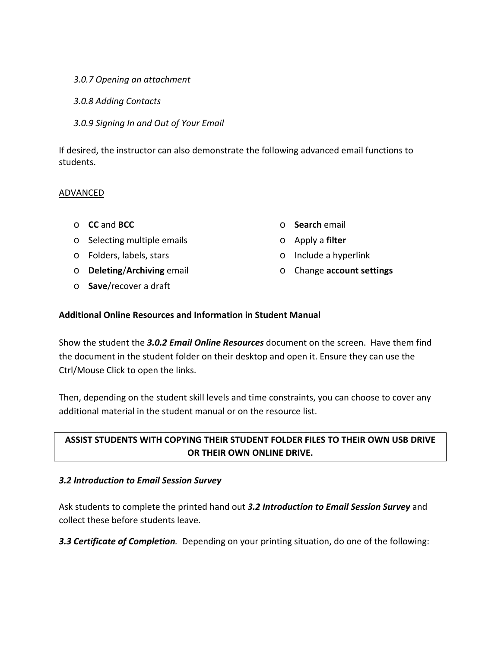### *3.0.7 Opening an attachment*

*3.0.8 Adding Contacts*

*3.0.9 Signing In and Out of Your Email*

If desired, the instructor can also demonstrate the following advanced email functions to students.

## ADVANCED

- o **CC** and **BCC**
- o Selecting multiple emails
- o Folders, labels, stars
- o **Deleting**/**Archiving** email
- o **Save**/recover a draft
- o **Search** email
- o Apply a **filter**
- o Include a hyperlink
- o Change **account settings**

### **Additional Online Resources and Information in Student Manual**

Show the student the *3.0.2 Email Online Resources* document on the screen. Have them find the document in the student folder on their desktop and open it. Ensure they can use the Ctrl/Mouse Click to open the links.

Then, depending on the student skill levels and time constraints, you can choose to cover any additional material in the student manual or on the resource list.

# **ASSIST STUDENTS WITH COPYING THEIR STUDENT FOLDER FILES TO THEIR OWN USB DRIVE OR THEIR OWN ONLINE DRIVE.**

## *3.2 Introduction to Email Session Survey*

Ask students to complete the printed hand out *3.2 Introduction to Email Session Survey* and collect these before students leave.

*3.3 Certificate of Completion.* Depending on your printing situation, do one of the following: